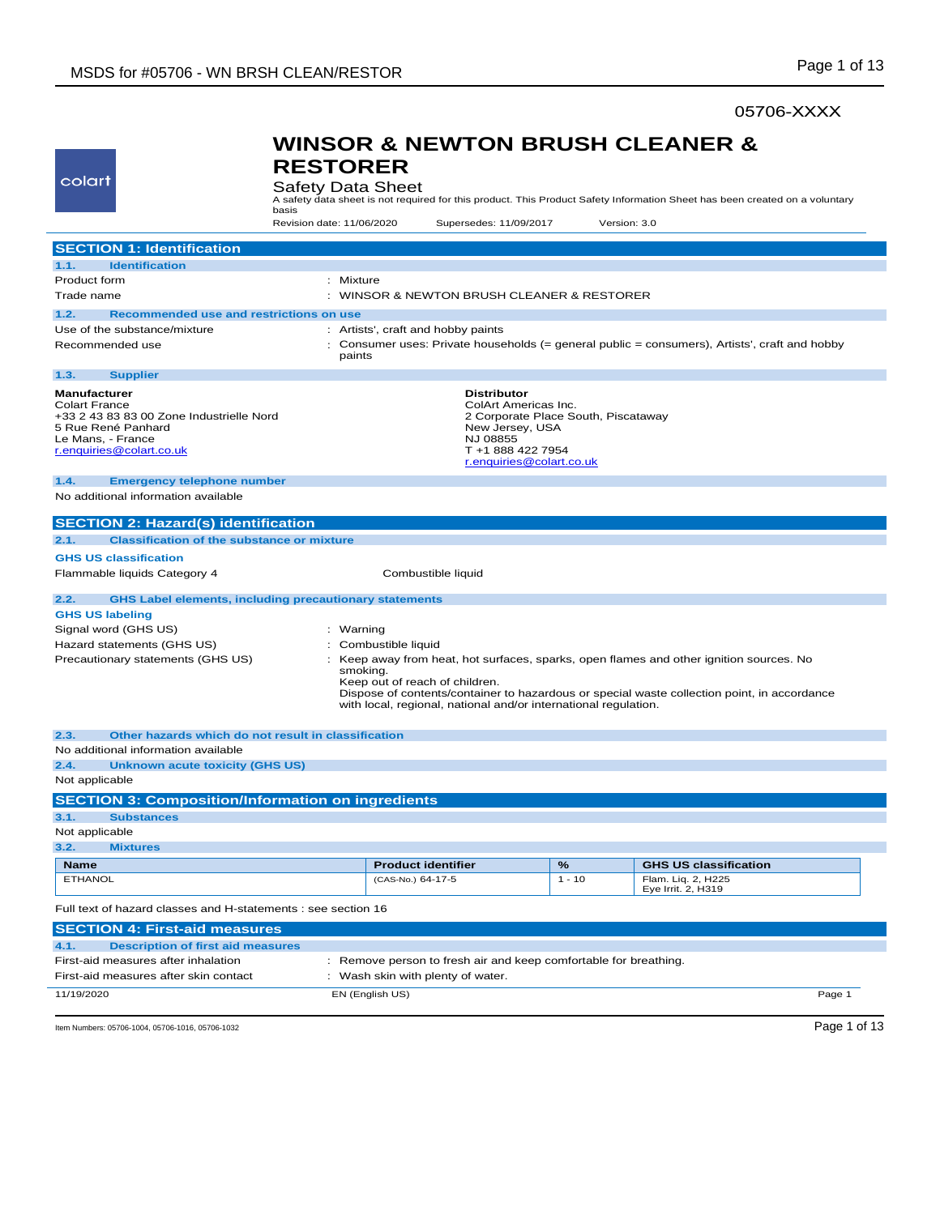### 05706-XXXX

## colart

### **WINSOR & NEWTON BRUSH CLEANER & RESTORER**

Safety Data Sheet

A safety data sheet is not required for this product. This Product Safety Information Sheet has been created on a voluntary basis

Revision date: 11/06/2020 Supersedes: 11/09/2017 Version: 3.0

| <b>SECTION 1: Identification</b>                                                                                                                                                                                                                                                                                                           |                                                                                                         |          |                                          |
|--------------------------------------------------------------------------------------------------------------------------------------------------------------------------------------------------------------------------------------------------------------------------------------------------------------------------------------------|---------------------------------------------------------------------------------------------------------|----------|------------------------------------------|
| <b>Identification</b><br>1.1.                                                                                                                                                                                                                                                                                                              |                                                                                                         |          |                                          |
| <b>Product form</b>                                                                                                                                                                                                                                                                                                                        | : Mixture                                                                                               |          |                                          |
| Trade name                                                                                                                                                                                                                                                                                                                                 | : WINSOR & NEWTON BRUSH CLEANER & RESTORER                                                              |          |                                          |
| 1.2.<br>Recommended use and restrictions on use                                                                                                                                                                                                                                                                                            |                                                                                                         |          |                                          |
| Use of the substance/mixture                                                                                                                                                                                                                                                                                                               | : Artists', craft and hobby paints                                                                      |          |                                          |
| Recommended use                                                                                                                                                                                                                                                                                                                            | : Consumer uses: Private households (= general public = consumers), Artists', craft and hobby<br>paints |          |                                          |
| <b>Supplier</b><br>1.3.                                                                                                                                                                                                                                                                                                                    |                                                                                                         |          |                                          |
| Manufacturer<br><b>Distributor</b><br><b>Colart France</b><br>ColArt Americas Inc.<br>+33 2 43 83 83 00 Zone Industrielle Nord<br>2 Corporate Place South, Piscataway<br>5 Rue René Panhard<br>New Jersey, USA<br>NJ 08855<br>Le Mans, - France<br>r.enquiries@colart.co.uk<br>T +1 888 422 7954<br>r.enquiries@colart.co.uk               |                                                                                                         |          |                                          |
| 1.4.<br><b>Emergency telephone number</b>                                                                                                                                                                                                                                                                                                  |                                                                                                         |          |                                          |
| No additional information available                                                                                                                                                                                                                                                                                                        |                                                                                                         |          |                                          |
| <b>SECTION 2: Hazard(s) identification</b>                                                                                                                                                                                                                                                                                                 |                                                                                                         |          |                                          |
| <b>Classification of the substance or mixture</b><br>2.1.                                                                                                                                                                                                                                                                                  |                                                                                                         |          |                                          |
|                                                                                                                                                                                                                                                                                                                                            |                                                                                                         |          |                                          |
| <b>GHS US classification</b><br>Flammable liquids Category 4                                                                                                                                                                                                                                                                               | Combustible liquid                                                                                      |          |                                          |
|                                                                                                                                                                                                                                                                                                                                            |                                                                                                         |          |                                          |
| <b>GHS Label elements, including precautionary statements</b><br>2.2.                                                                                                                                                                                                                                                                      |                                                                                                         |          |                                          |
| <b>GHS US labeling</b>                                                                                                                                                                                                                                                                                                                     |                                                                                                         |          |                                          |
| Signal word (GHS US)                                                                                                                                                                                                                                                                                                                       | : Warning                                                                                               |          |                                          |
| Hazard statements (GHS US)                                                                                                                                                                                                                                                                                                                 | Combustible liquid                                                                                      |          |                                          |
| Precautionary statements (GHS US)<br>Keep away from heat, hot surfaces, sparks, open flames and other ignition sources. No<br>smoking.<br>Keep out of reach of children.<br>Dispose of contents/container to hazardous or special waste collection point, in accordance<br>with local, regional, national and/or international regulation. |                                                                                                         |          |                                          |
| Other hazards which do not result in classification<br>2.3.                                                                                                                                                                                                                                                                                |                                                                                                         |          |                                          |
| No additional information available                                                                                                                                                                                                                                                                                                        |                                                                                                         |          |                                          |
| 2.4.<br><b>Unknown acute toxicity (GHS US)</b>                                                                                                                                                                                                                                                                                             |                                                                                                         |          |                                          |
| Not applicable                                                                                                                                                                                                                                                                                                                             |                                                                                                         |          |                                          |
| <b>SECTION 3: Composition/Information on ingredients</b>                                                                                                                                                                                                                                                                                   |                                                                                                         |          |                                          |
| 3.1.<br><b>Substances</b>                                                                                                                                                                                                                                                                                                                  |                                                                                                         |          |                                          |
| Not applicable                                                                                                                                                                                                                                                                                                                             |                                                                                                         |          |                                          |
| 3.2.<br><b>Mixtures</b>                                                                                                                                                                                                                                                                                                                    |                                                                                                         |          |                                          |
| <b>Name</b>                                                                                                                                                                                                                                                                                                                                | <b>Product identifier</b>                                                                               | %        | <b>GHS US classification</b>             |
| <b>ETHANOL</b>                                                                                                                                                                                                                                                                                                                             | (CAS-No.) 64-17-5                                                                                       | $1 - 10$ | Flam. Liq. 2, H225<br>Eye Irrit. 2, H319 |
| Full text of hazard classes and H-statements : see section 16                                                                                                                                                                                                                                                                              |                                                                                                         |          |                                          |
| <b>SECTION 4: First-aid measures</b>                                                                                                                                                                                                                                                                                                       |                                                                                                         |          |                                          |
| 4.1.<br><b>Description of first aid measures</b>                                                                                                                                                                                                                                                                                           |                                                                                                         |          |                                          |
| First-aid measures after inhalation                                                                                                                                                                                                                                                                                                        | : Remove person to fresh air and keep comfortable for breathing.                                        |          |                                          |
| First-aid measures after skin contact<br>: Wash skin with plenty of water.                                                                                                                                                                                                                                                                 |                                                                                                         |          |                                          |
| 11/19/2020<br>EN (English US)<br>Page 1                                                                                                                                                                                                                                                                                                    |                                                                                                         |          |                                          |

Item Numbers: 05706-1004, 05706-1016, 05706-1032 Page 1 of 13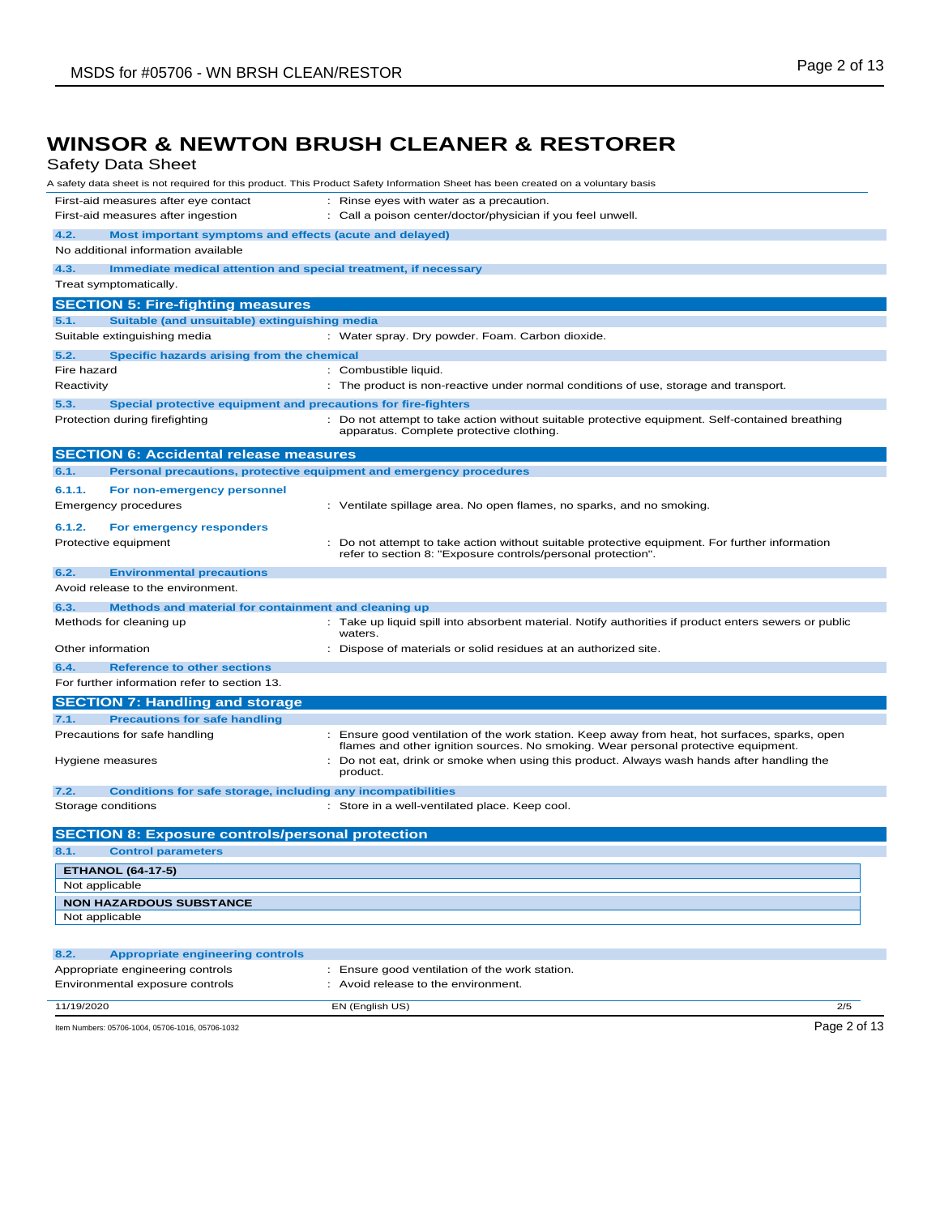Safety Data Sheet

| Salely Dala Sileel                                                          | A safety data sheet is not required for this product. This Product Safety Information Sheet has been created on a voluntary basis                                                    |
|-----------------------------------------------------------------------------|--------------------------------------------------------------------------------------------------------------------------------------------------------------------------------------|
| First-aid measures after eye contact                                        | : Rinse eyes with water as a precaution.                                                                                                                                             |
| First-aid measures after ingestion                                          | : Call a poison center/doctor/physician if you feel unwell.                                                                                                                          |
| 4.2.<br>Most important symptoms and effects (acute and delayed)             |                                                                                                                                                                                      |
| No additional information available                                         |                                                                                                                                                                                      |
| 4.3.<br>Immediate medical attention and special treatment, if necessary     |                                                                                                                                                                                      |
| Treat symptomatically.                                                      |                                                                                                                                                                                      |
| <b>SECTION 5: Fire-fighting measures</b>                                    |                                                                                                                                                                                      |
| Suitable (and unsuitable) extinguishing media<br>5.1.                       |                                                                                                                                                                                      |
| Suitable extinguishing media                                                | : Water spray. Dry powder. Foam. Carbon dioxide.                                                                                                                                     |
| 5.2.<br>Specific hazards arising from the chemical                          |                                                                                                                                                                                      |
| Fire hazard                                                                 | : Combustible liquid.                                                                                                                                                                |
| Reactivity                                                                  | : The product is non-reactive under normal conditions of use, storage and transport.                                                                                                 |
| 5.3.<br>Special protective equipment and precautions for fire-fighters      |                                                                                                                                                                                      |
| Protection during firefighting                                              | : Do not attempt to take action without suitable protective equipment. Self-contained breathing<br>apparatus. Complete protective clothing.                                          |
| <b>SECTION 6: Accidental release measures</b>                               |                                                                                                                                                                                      |
| Personal precautions, protective equipment and emergency procedures<br>6.1. |                                                                                                                                                                                      |
| 6.1.1.<br>For non-emergency personnel                                       |                                                                                                                                                                                      |
| Emergency procedures                                                        | : Ventilate spillage area. No open flames, no sparks, and no smoking.                                                                                                                |
| 6.1.2.<br>For emergency responders                                          |                                                                                                                                                                                      |
| Protective equipment                                                        | : Do not attempt to take action without suitable protective equipment. For further information<br>refer to section 8: "Exposure controls/personal protection".                       |
| 6.2.<br><b>Environmental precautions</b>                                    |                                                                                                                                                                                      |
| Avoid release to the environment.                                           |                                                                                                                                                                                      |
| Methods and material for containment and cleaning up<br>6.3.                |                                                                                                                                                                                      |
| Methods for cleaning up                                                     | Take up liquid spill into absorbent material. Notify authorities if product enters sewers or public<br>waters.                                                                       |
| Other information                                                           | : Dispose of materials or solid residues at an authorized site.                                                                                                                      |
| 6.4.<br><b>Reference to other sections</b>                                  |                                                                                                                                                                                      |
| For further information refer to section 13.                                |                                                                                                                                                                                      |
| <b>SECTION 7: Handling and storage</b>                                      |                                                                                                                                                                                      |
| <b>Precautions for safe handling</b><br>7.1.                                |                                                                                                                                                                                      |
| Precautions for safe handling                                               | : Ensure good ventilation of the work station. Keep away from heat, hot surfaces, sparks, open<br>flames and other ignition sources. No smoking. Wear personal protective equipment. |
| Hygiene measures                                                            | : Do not eat, drink or smoke when using this product. Always wash hands after handling the<br>product.                                                                               |
| 7.2.<br><b>Conditions for safe storage, including any incompatibilities</b> |                                                                                                                                                                                      |
| Storage conditions                                                          | : Store in a well-ventilated place. Keep cool.                                                                                                                                       |
| <b>SECTION 8: Exposure controls/personal protection</b>                     |                                                                                                                                                                                      |
| 8.1.<br><b>Control parameters</b>                                           |                                                                                                                                                                                      |
| <b>ETHANOL (64-17-5)</b>                                                    |                                                                                                                                                                                      |
| Not applicable                                                              |                                                                                                                                                                                      |
| <b>NON HAZARDOUS SUBSTANCE</b>                                              |                                                                                                                                                                                      |
| Not applicable                                                              |                                                                                                                                                                                      |
|                                                                             |                                                                                                                                                                                      |
| 8.2.<br><b>Appropriate engineering controls</b>                             |                                                                                                                                                                                      |
| Appropriate engineering controls                                            | : Ensure good ventilation of the work station.                                                                                                                                       |
| Environmental exposure controls                                             | : Avoid release to the environment.                                                                                                                                                  |
| 11/19/2020                                                                  | EN (English US)<br>2/5                                                                                                                                                               |
| Item Numbers: 05706-1004, 05706-1016, 05706-1032                            | Page 2 of 13                                                                                                                                                                         |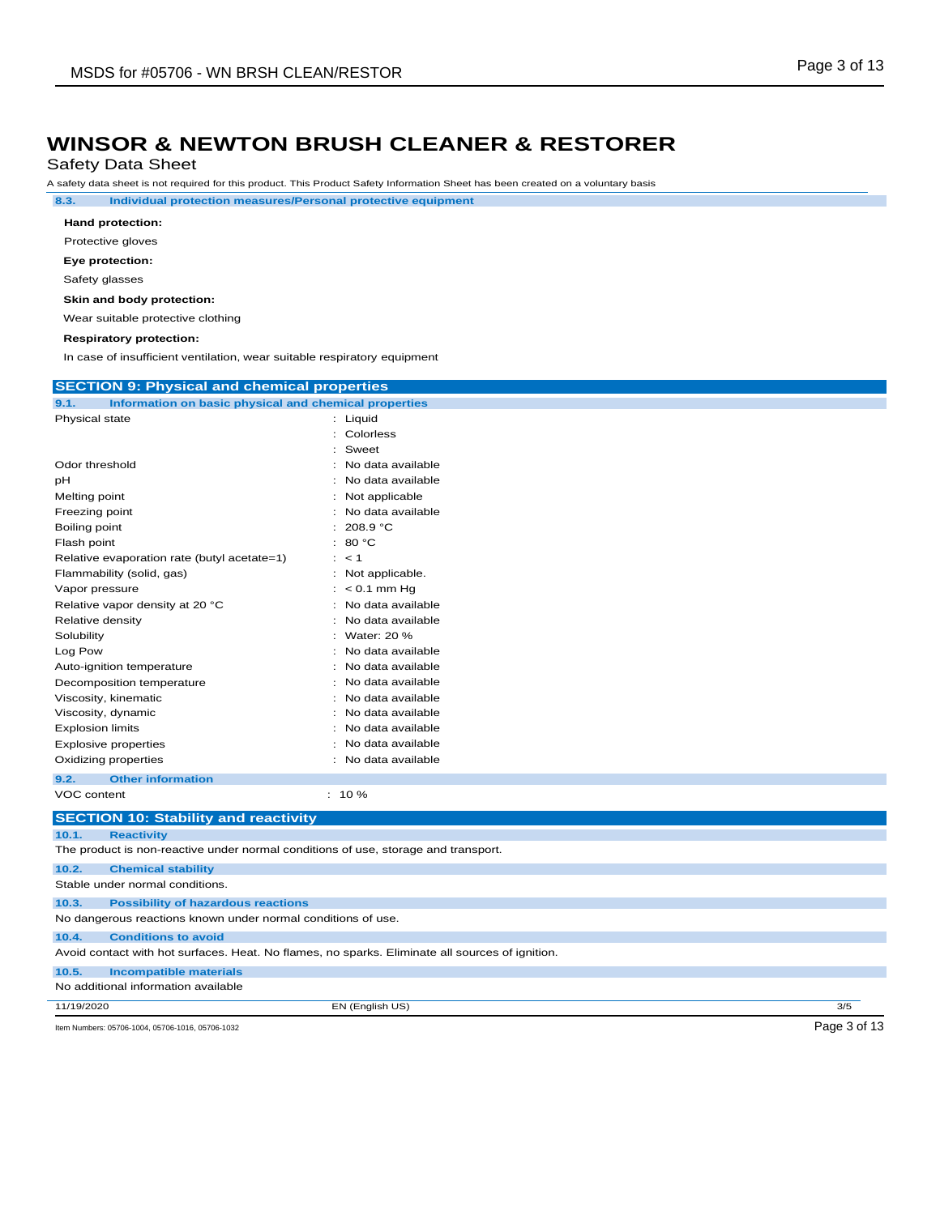Safety Data Sheet

A safety data sheet is not required for this product. This Product Safety Information Sheet has been created on a voluntary basis

**8.3. Individual protection measures/Personal protective equipment**

| Hand protection:  |  |
|-------------------|--|
| Protective gloves |  |

**Eye protection:**

Safety glasses

#### **Skin and body protection:**

Wear suitable protective clothing

#### **Respiratory protection:**

In case of insufficient ventilation, wear suitable respiratory equipment

| <b>SECTION 9: Physical and chemical properties</b>                                              |                     |              |
|-------------------------------------------------------------------------------------------------|---------------------|--------------|
| 9.1.<br>Information on basic physical and chemical properties                                   |                     |              |
| Physical state                                                                                  | : Liquid            |              |
|                                                                                                 | : Colorless         |              |
|                                                                                                 | Sweet               |              |
| Odor threshold                                                                                  | No data available   |              |
| рH                                                                                              | No data available   |              |
| Melting point                                                                                   | Not applicable      |              |
| Freezing point                                                                                  | No data available   |              |
| Boiling point                                                                                   | 208.9 °C            |              |
| Flash point                                                                                     | 80 °C<br>÷.         |              |
| Relative evaporation rate (butyl acetate=1)                                                     | $:$ < 1             |              |
| Flammability (solid, gas)                                                                       | Not applicable.     |              |
| Vapor pressure                                                                                  | $< 0.1$ mm Hg       |              |
| Relative vapor density at 20 °C                                                                 | No data available   |              |
| Relative density                                                                                | No data available   |              |
| Solubility                                                                                      | Water: 20 %         |              |
| Log Pow                                                                                         | No data available   |              |
| Auto-ignition temperature                                                                       | No data available   |              |
| Decomposition temperature                                                                       | No data available   |              |
| Viscosity, kinematic                                                                            | : No data available |              |
| Viscosity, dynamic                                                                              | No data available   |              |
| <b>Explosion limits</b>                                                                         | No data available   |              |
| <b>Explosive properties</b>                                                                     | No data available   |              |
| Oxidizing properties                                                                            | : No data available |              |
| 9.2.<br><b>Other information</b>                                                                |                     |              |
| VOC content                                                                                     | $: 10 \%$           |              |
| <b>SECTION 10: Stability and reactivity</b>                                                     |                     |              |
| 10.1.<br><b>Reactivity</b>                                                                      |                     |              |
| The product is non-reactive under normal conditions of use, storage and transport.              |                     |              |
| <b>Chemical stability</b><br>10.2.                                                              |                     |              |
| Stable under normal conditions.                                                                 |                     |              |
| 10.3.<br><b>Possibility of hazardous reactions</b>                                              |                     |              |
| No dangerous reactions known under normal conditions of use.                                    |                     |              |
| 10.4.<br><b>Conditions to avoid</b>                                                             |                     |              |
| Avoid contact with hot surfaces. Heat. No flames, no sparks. Eliminate all sources of ignition. |                     |              |
| <b>Incompatible materials</b><br>10.5.                                                          |                     |              |
| No additional information available                                                             |                     |              |
| 11/19/2020                                                                                      | EN (English US)     | 3/5          |
| Item Numbers: 05706-1004, 05706-1016, 05706-1032                                                |                     | Page 3 of 13 |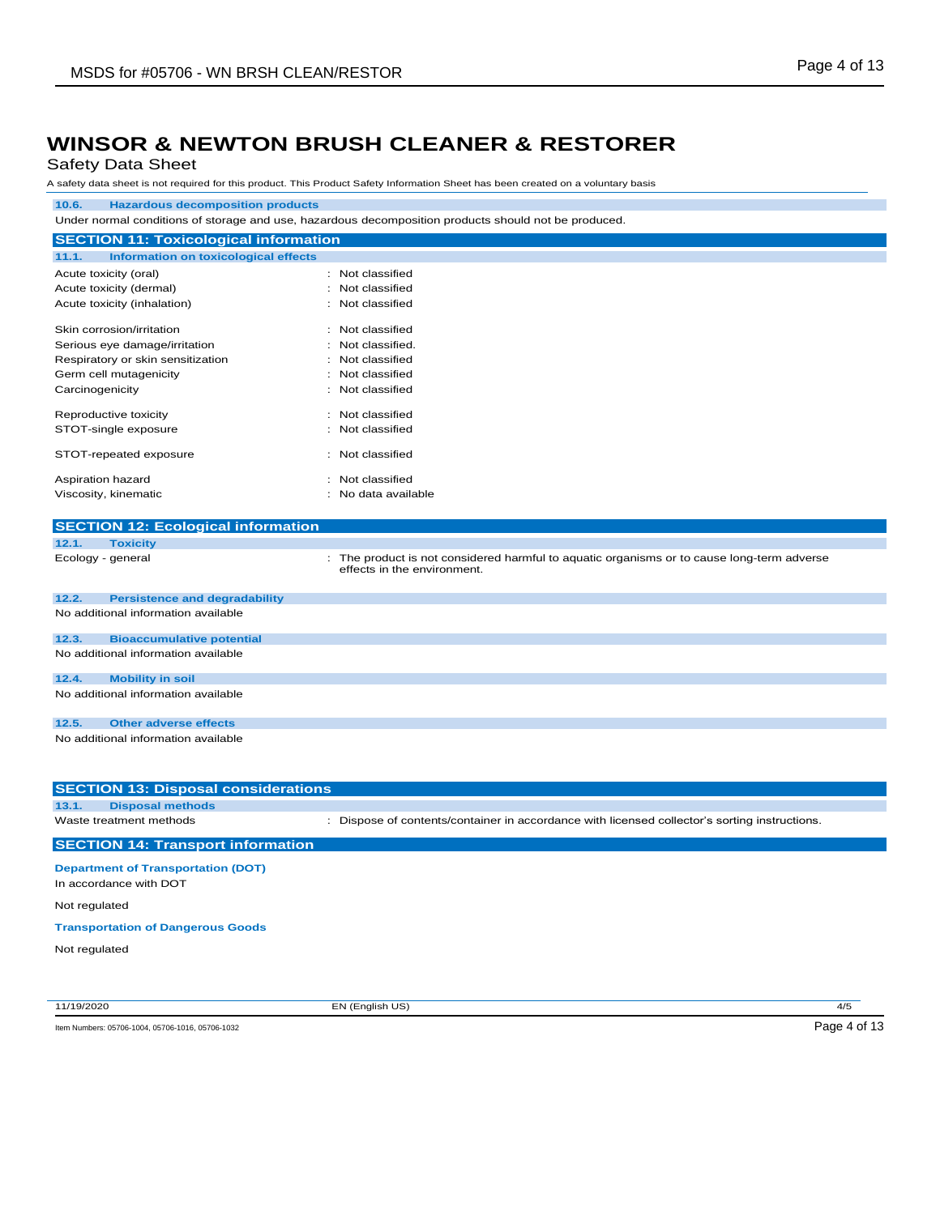#### Safety Data Sheet

A safety data sheet is not required for this product. This Product Safety Information Sheet has been created on a voluntary basis

### **10.6. Hazardous decomposition products**

Under normal conditions of storage and use, hazardous decomposition products should not be produced.

| <b>SECTION 11: Toxicological information</b>  |  |                   |
|-----------------------------------------------|--|-------------------|
| Information on toxicological effects<br>11.1. |  |                   |
| Acute toxicity (oral)                         |  | : Not classified  |
| Acute toxicity (dermal)                       |  | Not classified    |
| Acute toxicity (inhalation)                   |  | : Not classified  |
| Skin corrosion/irritation                     |  | : Not classified  |
| Serious eye damage/irritation                 |  | : Not classified. |
| Respiratory or skin sensitization             |  | : Not classified  |
| Germ cell mutagenicity                        |  | : Not classified  |
| Carcinogenicity                               |  | : Not classified  |
| Reproductive toxicity                         |  | : Not classified  |
| STOT-single exposure                          |  | : Not classified  |
| STOT-repeated exposure                        |  | : Not classified  |
| Aspiration hazard                             |  | : Not classified  |
| Viscosity, kinematic                          |  | No data available |

#### **SECTION 12: Ecological information**

**12.1. Toxicity**

Ecology - general **interproduct is not considered harmful to aquatic organisms or to cause long-term adverse** effects in the environment.

| 12.2. | <b>Persistence and degradability</b> |
|-------|--------------------------------------|
|       | No additional information available  |
| 12.3. | <b>Bioaccumulative potential</b>     |
|       | No additional information available  |
| 12.4. | <b>Mobility in soil</b>              |
|       | No additional information available  |
| 12.5. | <b>Other adverse effects</b>         |
|       | No additional information available  |

| <b>SECTION 13: Disposal considerations</b>                          |                                                                                               |
|---------------------------------------------------------------------|-----------------------------------------------------------------------------------------------|
| 13.1.<br><b>Disposal methods</b>                                    |                                                                                               |
| Waste treatment methods                                             | : Dispose of contents/container in accordance with licensed collector's sorting instructions. |
| <b>SECTION 14: Transport information</b>                            |                                                                                               |
| <b>Department of Transportation (DOT)</b><br>In accordance with DOT |                                                                                               |

Not regulated

#### **Transportation of Dangerous Goods**

Not regulated

11/19/2020 EN (English US) 4/5

Item Numbers: 05706-1004, 05706-1016, 05706-1032 Page 4 of 13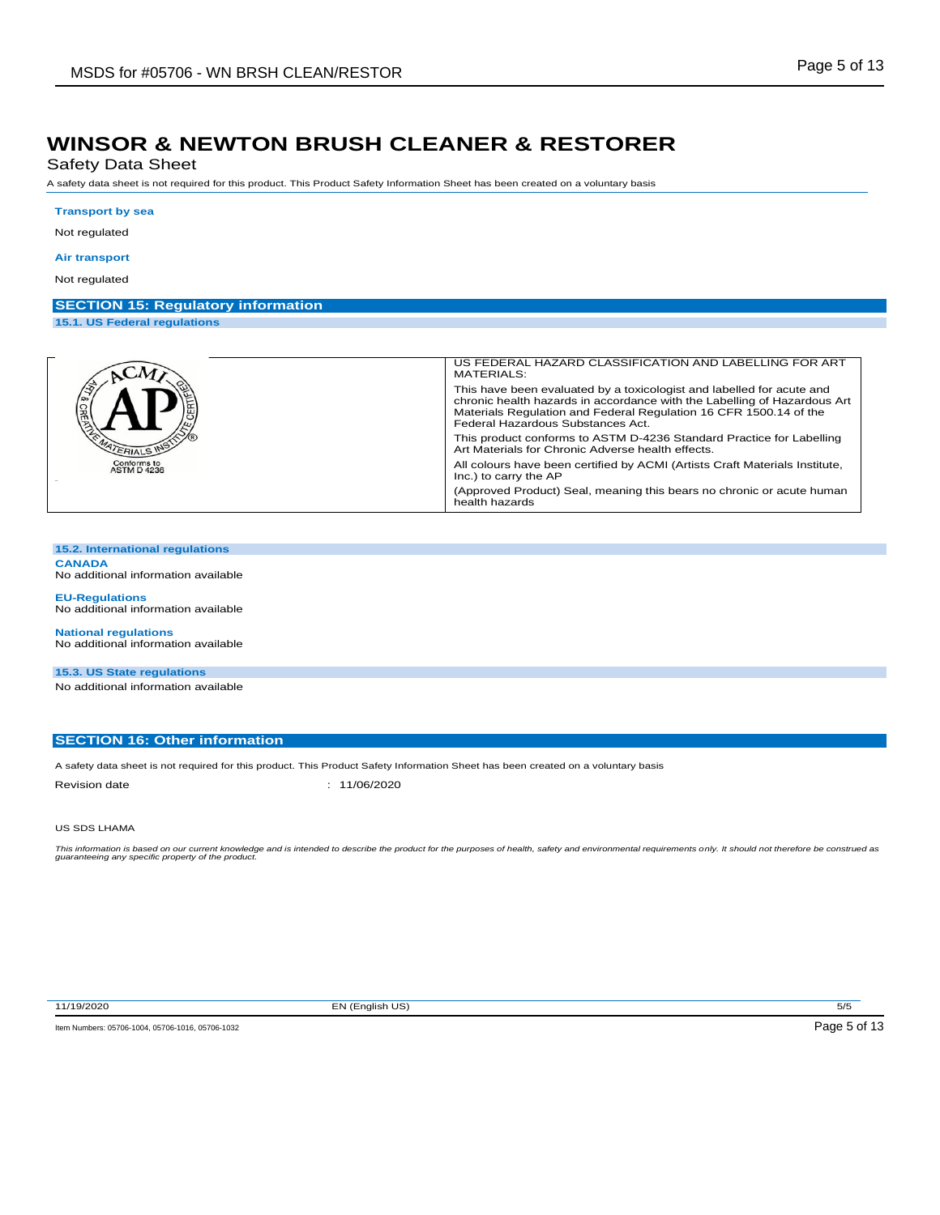Safety Data Sheet

A safety data sheet is not required for this product. This Product Safety Information Sheet has been created on a voluntary basis

#### **Transport by sea**

Not regulated

#### **Air transport**

Not regulated

#### **SECTION 15: Regulatory information**

**15.1. US Federal regulations**

|                                   | US FEDERAL HAZARD CLASSIFICATION AND LABELLING FOR ART<br>MATERIALS:                                                                                                                                                                                        |
|-----------------------------------|-------------------------------------------------------------------------------------------------------------------------------------------------------------------------------------------------------------------------------------------------------------|
| <b>GRED</b>                       | This have been evaluated by a toxicologist and labelled for acute and<br>chronic health hazards in accordance with the Labelling of Hazardous Art<br>Materials Regulation and Federal Regulation 16 CFR 1500.14 of the<br>Federal Hazardous Substances Act. |
| <b>ATERIALS IN</b>                | This product conforms to ASTM D-4236 Standard Practice for Labelling<br>Art Materials for Chronic Adverse health effects.                                                                                                                                   |
| Conforms to<br><b>ASTM D 4236</b> | All colours have been certified by ACMI (Artists Craft Materials Institute,<br>Inc.) to carry the AP                                                                                                                                                        |
|                                   | (Approved Product) Seal, meaning this bears no chronic or acute human<br>health hazards                                                                                                                                                                     |

#### **15.2. International regulations CANADA**

No additional information available

**EU-Regulations** No additional information available

**National regulations** No additional information available

**15.3. US State regulations** No additional information available

#### **SECTION 16: Other information**

A safety data sheet is not required for this product. This Product Safety Information Sheet has been created on a voluntary basis Revision date : 11/06/2020

#### US SDS LHAMA

This information is based on our current knowledge and is intended to describe the product for the purposes of health, safety and environmental requirements only. It should not therefore be construed as<br>guaranteeing any sp

11/19/2020 EN (English US) 5/5

Item Numbers: 05706-1004, 05706-1016, 05706-1032 Page 5 of 13

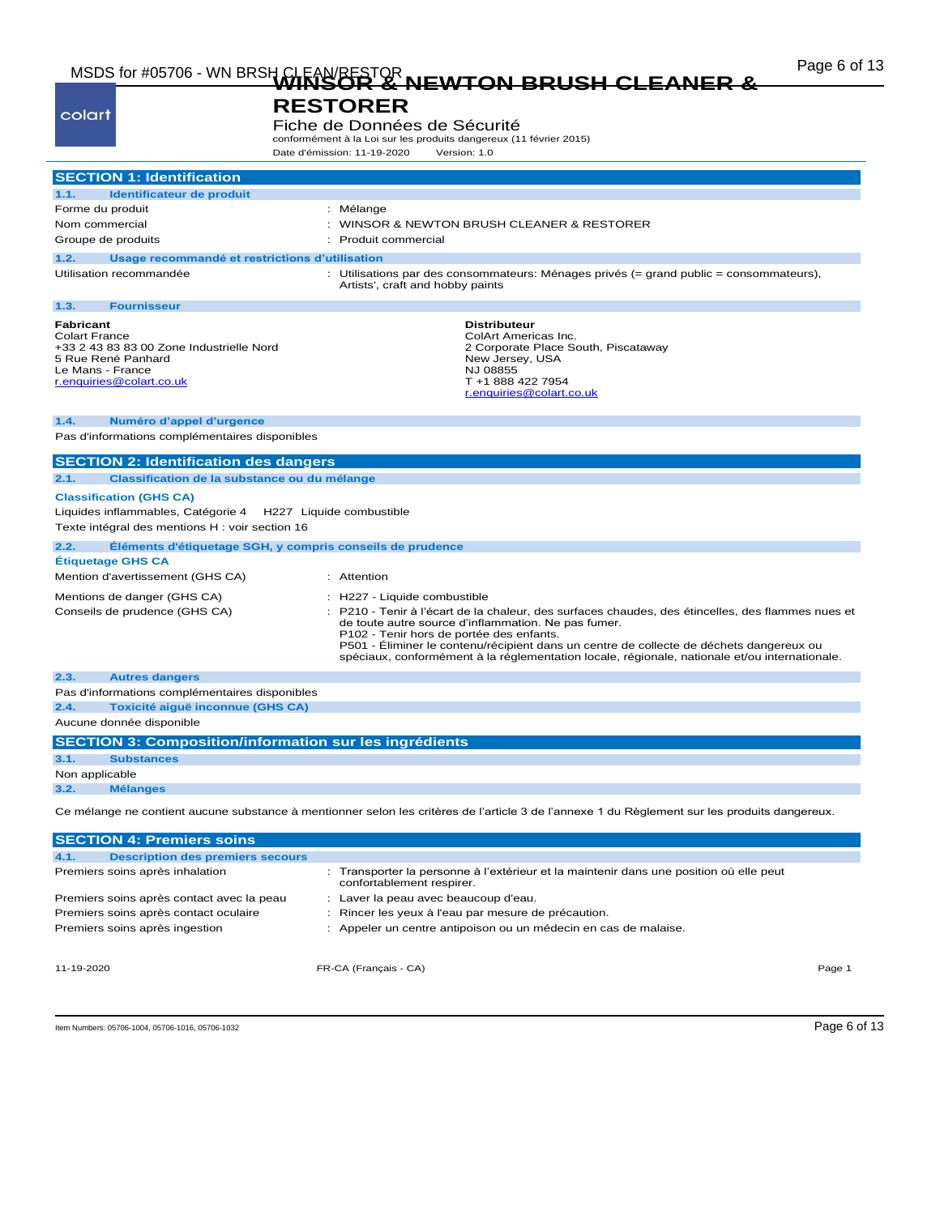## MSDS for #05706 - WN BRSH CLEAN/RESTOR<br>
MSDS for #05706 - WN BRSH CLEANER & NEWTON BRUSH CLEANER &

| MSDS TOT #05706 - WN BRSH<br>colart                                                                                                                 | <b>NEWTON BRUSH CLEANER</b><br><b>RESTORER</b><br>Fiche de Données de Sécurité<br>conformément à la Loi sur les produits dangereux (11 février 2015)                                                                                                                                                                                                                                                                             |
|-----------------------------------------------------------------------------------------------------------------------------------------------------|----------------------------------------------------------------------------------------------------------------------------------------------------------------------------------------------------------------------------------------------------------------------------------------------------------------------------------------------------------------------------------------------------------------------------------|
|                                                                                                                                                     | Date d'émission: 11-19-2020<br>Version: 1.0                                                                                                                                                                                                                                                                                                                                                                                      |
| <b>SECTION 1: Identification</b>                                                                                                                    |                                                                                                                                                                                                                                                                                                                                                                                                                                  |
| Identificateur de produit<br>1.1.                                                                                                                   |                                                                                                                                                                                                                                                                                                                                                                                                                                  |
| Forme du produit                                                                                                                                    | : Mélange                                                                                                                                                                                                                                                                                                                                                                                                                        |
| Nom commercial                                                                                                                                      | : WINSOR & NEWTON BRUSH CLEANER & RESTORER                                                                                                                                                                                                                                                                                                                                                                                       |
| Groupe de produits                                                                                                                                  | Produit commercial                                                                                                                                                                                                                                                                                                                                                                                                               |
| 1.2.<br>Usage recommandé et restrictions d'utilisation                                                                                              |                                                                                                                                                                                                                                                                                                                                                                                                                                  |
| Utilisation recommandée                                                                                                                             | : Utilisations par des consommateurs: Ménages privés (= grand public = consommateurs),<br>Artists', craft and hobby paints                                                                                                                                                                                                                                                                                                       |
| 1.3.<br><b>Fournisseur</b>                                                                                                                          |                                                                                                                                                                                                                                                                                                                                                                                                                                  |
| Fabricant<br><b>Colart France</b><br>+33 2 43 83 83 00 Zone Industrielle Nord<br>5 Rue René Panhard<br>Le Mans - France<br>r.enquiries@colart.co.uk | <b>Distributeur</b><br>ColArt Americas Inc.<br>2 Corporate Place South, Piscataway<br>New Jersey, USA<br>NJ 08855<br>T +1 888 422 7954<br>r.enquiries@colart.co.uk                                                                                                                                                                                                                                                               |
| 1.4.<br>Numéro d'appel d'urgence<br>Pas d'informations complémentaires disponibles                                                                  |                                                                                                                                                                                                                                                                                                                                                                                                                                  |
| <b>SECTION 2: Identification des dangers</b><br>2.1.<br>Classification de la substance ou du mélange<br><b>Classification (GHS CA)</b>              |                                                                                                                                                                                                                                                                                                                                                                                                                                  |
| Liquides inflammables, Catégorie 4<br>Texte intégral des mentions H : voir section 16                                                               | H227 Liquide combustible                                                                                                                                                                                                                                                                                                                                                                                                         |
| 2.2.                                                                                                                                                | Eléments d'étiquetage SGH, y compris conseils de prudence                                                                                                                                                                                                                                                                                                                                                                        |
| <b>Étiquetage GHS CA</b>                                                                                                                            |                                                                                                                                                                                                                                                                                                                                                                                                                                  |
| Mention d'avertissement (GHS CA)                                                                                                                    | : Attention                                                                                                                                                                                                                                                                                                                                                                                                                      |
| Mentions de danger (GHS CA)<br>Conseils de prudence (GHS CA)                                                                                        | : H227 - Liquide combustible<br>: P210 - Tenir à l'écart de la chaleur, des surfaces chaudes, des étincelles, des flammes nues et<br>de toute autre source d'inflammation. Ne pas fumer.<br>P102 - Tenir hors de portée des enfants.<br>P501 - Eliminer le contenu/récipient dans un centre de collecte de déchets dangereux ou<br>spéciaux, conformément à la réglementation locale, régionale, nationale et/ou internationale. |
| 2.3.<br><b>Autres dangers</b>                                                                                                                       |                                                                                                                                                                                                                                                                                                                                                                                                                                  |
| Pas d'informations complémentaires disponibles                                                                                                      |                                                                                                                                                                                                                                                                                                                                                                                                                                  |
| 2.4.<br>Toxicité aiguë inconnue (GHS CA)                                                                                                            |                                                                                                                                                                                                                                                                                                                                                                                                                                  |
| Aucune donnée disponible                                                                                                                            |                                                                                                                                                                                                                                                                                                                                                                                                                                  |
| <b>SECTION 3: Composition/information sur les ingrédients</b>                                                                                       |                                                                                                                                                                                                                                                                                                                                                                                                                                  |
| Substances                                                                                                                                          |                                                                                                                                                                                                                                                                                                                                                                                                                                  |
| Non applicable                                                                                                                                      |                                                                                                                                                                                                                                                                                                                                                                                                                                  |
| 3.2.<br><b>Mélanges</b>                                                                                                                             |                                                                                                                                                                                                                                                                                                                                                                                                                                  |
|                                                                                                                                                     | Ce mélange ne contient aucune substance à mentionner selon les critères de l'article 3 de l'annexe 1 du Règlement sur les produits dangereux.                                                                                                                                                                                                                                                                                    |
| <b>SECTION 4: Premiers soins</b>                                                                                                                    |                                                                                                                                                                                                                                                                                                                                                                                                                                  |
| 4.1.<br><b>Description des premiers secours</b>                                                                                                     |                                                                                                                                                                                                                                                                                                                                                                                                                                  |
| Premiers soins après inhalation                                                                                                                     | : Transporter la personne à l'extérieur et la maintenir dans une position où elle peut<br>confortablement respirer.                                                                                                                                                                                                                                                                                                              |
| Premiers soins après contact avec la peau                                                                                                           | : Laver la peau avec beaucoup d'eau.                                                                                                                                                                                                                                                                                                                                                                                             |
| Premiers soins après contact oculaire                                                                                                               | : Rincer les yeux à l'eau par mesure de précaution.                                                                                                                                                                                                                                                                                                                                                                              |

Premiers soins après ingestion : Appeler un centre antipoison ou un médecin en cas de malaise.

11-19-2020 FR-CA (Français - CA) Page 1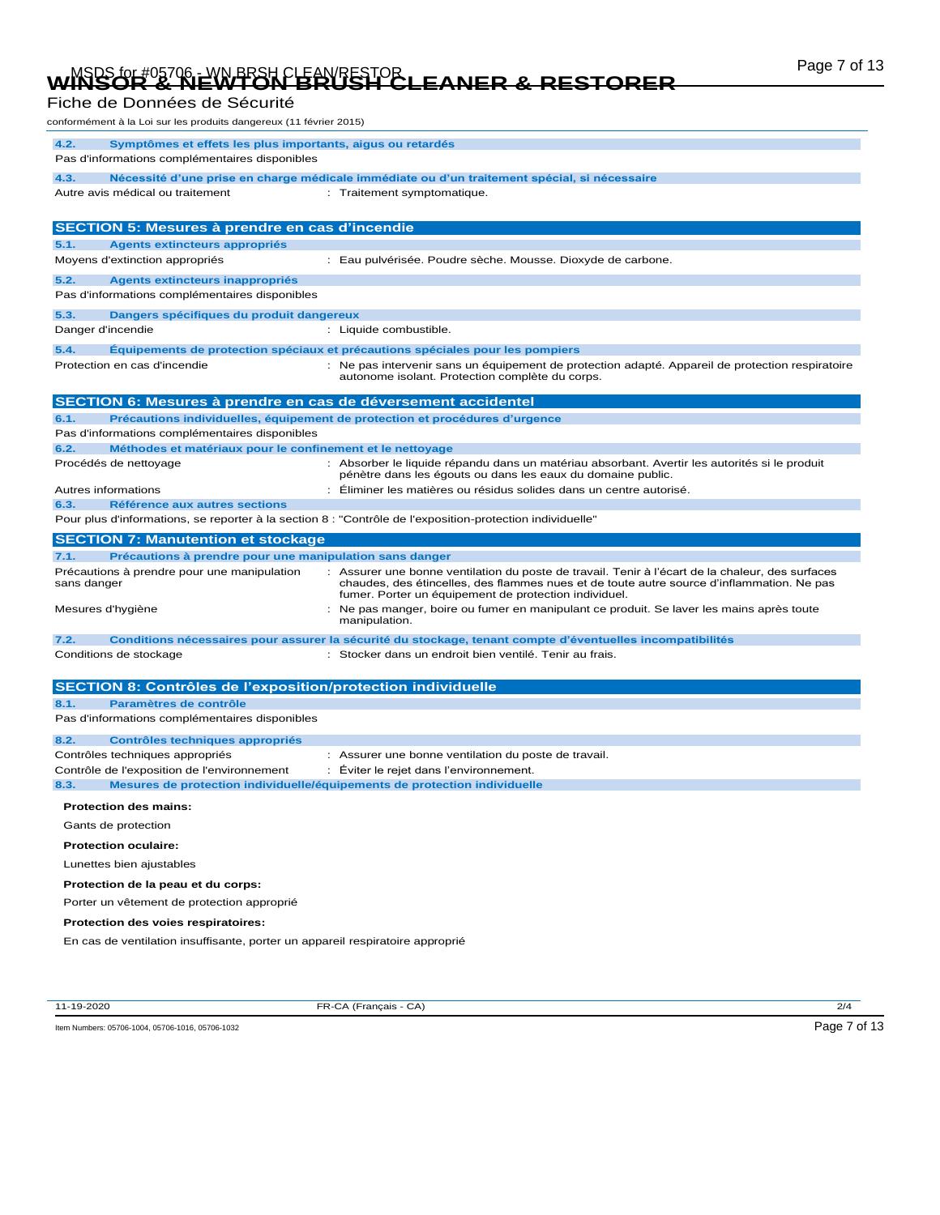# Page 7 of 13 MSDS for #05706 - WN BRSH CLEAN/RESTOR **WINSOR & NEWTON BRUSH CLEANER & RESTORER**

| Fiche de Données de Sécurité<br>conformément à la Loi sur les produits dangereux (11 février 2015)                   |                                                                                                                                                                                                                                                        |  |  |
|----------------------------------------------------------------------------------------------------------------------|--------------------------------------------------------------------------------------------------------------------------------------------------------------------------------------------------------------------------------------------------------|--|--|
|                                                                                                                      |                                                                                                                                                                                                                                                        |  |  |
| Symptômes et effets les plus importants, aigus ou retardés<br>4.2.<br>Pas d'informations complémentaires disponibles |                                                                                                                                                                                                                                                        |  |  |
| 4.3.                                                                                                                 | Nécessité d'une prise en charge médicale immédiate ou d'un traitement spécial, si nécessaire                                                                                                                                                           |  |  |
| Autre avis médical ou traitement                                                                                     | : Traitement symptomatique.                                                                                                                                                                                                                            |  |  |
|                                                                                                                      |                                                                                                                                                                                                                                                        |  |  |
| <b>SECTION 5: Mesures à prendre en cas d'incendie</b>                                                                |                                                                                                                                                                                                                                                        |  |  |
| 5.1.<br><b>Agents extincteurs appropriés</b>                                                                         |                                                                                                                                                                                                                                                        |  |  |
| Moyens d'extinction appropriés                                                                                       | : Eau pulvérisée. Poudre sèche. Mousse. Dioxyde de carbone.                                                                                                                                                                                            |  |  |
| 5.2.<br>Agents extincteurs inappropriés<br>Pas d'informations complémentaires disponibles                            |                                                                                                                                                                                                                                                        |  |  |
| 5.3.<br>Dangers spécifiques du produit dangereux                                                                     |                                                                                                                                                                                                                                                        |  |  |
| Danger d'incendie                                                                                                    | : Liquide combustible.                                                                                                                                                                                                                                 |  |  |
| 5.4.                                                                                                                 | Equipements de protection spéciaux et précautions spéciales pour les pompiers                                                                                                                                                                          |  |  |
| Protection en cas d'incendie                                                                                         | : Ne pas intervenir sans un équipement de protection adapté. Appareil de protection respiratoire<br>autonome isolant. Protection complète du corps.                                                                                                    |  |  |
| <b>SECTION 6: Mesures à prendre en cas de déversement accidentel</b>                                                 |                                                                                                                                                                                                                                                        |  |  |
| 6.1.                                                                                                                 | Précautions individuelles, équipement de protection et procédures d'urgence                                                                                                                                                                            |  |  |
| Pas d'informations complémentaires disponibles                                                                       |                                                                                                                                                                                                                                                        |  |  |
| 6.2.<br>Méthodes et matériaux pour le confinement et le nettoyage                                                    |                                                                                                                                                                                                                                                        |  |  |
| Procédés de nettoyage                                                                                                | : Absorber le liquide répandu dans un matériau absorbant. Avertir les autorités si le produit<br>pénètre dans les égouts ou dans les eaux du domaine public.                                                                                           |  |  |
| Autres informations                                                                                                  | Eliminer les matières ou résidus solides dans un centre autorisé.                                                                                                                                                                                      |  |  |
| Référence aux autres sections<br>6.3.                                                                                | Pour plus d'informations, se reporter à la section 8 : "Contrôle de l'exposition-protection individuelle"                                                                                                                                              |  |  |
|                                                                                                                      |                                                                                                                                                                                                                                                        |  |  |
| <b>SECTION 7: Manutention et stockage</b>                                                                            |                                                                                                                                                                                                                                                        |  |  |
| Précautions à prendre pour une manipulation sans danger<br>7.1.                                                      |                                                                                                                                                                                                                                                        |  |  |
|                                                                                                                      |                                                                                                                                                                                                                                                        |  |  |
| Précautions à prendre pour une manipulation<br>sans danger                                                           | : Assurer une bonne ventilation du poste de travail. Tenir à l'écart de la chaleur, des surfaces<br>chaudes, des étincelles, des flammes nues et de toute autre source d'inflammation. Ne pas<br>fumer. Porter un équipement de protection individuel. |  |  |
| Mesures d'hygiène                                                                                                    | Ne pas manger, boire ou fumer en manipulant ce produit. Se laver les mains après toute<br>manipulation.                                                                                                                                                |  |  |
| 7.2.                                                                                                                 | Conditions nécessaires pour assurer la sécurité du stockage, tenant compte d'éventuelles incompatibilités                                                                                                                                              |  |  |
| Conditions de stockage                                                                                               | : Stocker dans un endroit bien ventilé. Tenir au frais.                                                                                                                                                                                                |  |  |
|                                                                                                                      |                                                                                                                                                                                                                                                        |  |  |
| <b>SECTION 8: Contrôles de l'exposition/protection individuelle</b>                                                  |                                                                                                                                                                                                                                                        |  |  |
| 8.1.<br>Paramètres de contrôle                                                                                       |                                                                                                                                                                                                                                                        |  |  |
| Pas d'informations complémentaires disponibles                                                                       |                                                                                                                                                                                                                                                        |  |  |
| 8.2.<br><b>Contrôles techniques appropriés</b>                                                                       |                                                                                                                                                                                                                                                        |  |  |
| Contrôles techniques appropriés                                                                                      | : Assurer une bonne ventilation du poste de travail.                                                                                                                                                                                                   |  |  |
| Contrôle de l'exposition de l'environnement                                                                          | : Éviter le rejet dans l'environnement.                                                                                                                                                                                                                |  |  |
| 8.3.                                                                                                                 | Mesures de protection individuelle/équipements de protection individuelle                                                                                                                                                                              |  |  |
| <b>Protection des mains:</b>                                                                                         |                                                                                                                                                                                                                                                        |  |  |
| Gants de protection                                                                                                  |                                                                                                                                                                                                                                                        |  |  |
| <b>Protection oculaire:</b>                                                                                          |                                                                                                                                                                                                                                                        |  |  |
| Lunettes bien ajustables                                                                                             |                                                                                                                                                                                                                                                        |  |  |
|                                                                                                                      |                                                                                                                                                                                                                                                        |  |  |
| Protection de la peau et du corps:                                                                                   |                                                                                                                                                                                                                                                        |  |  |
| Porter un vêtement de protection approprié                                                                           |                                                                                                                                                                                                                                                        |  |  |
| Protection des voies respiratoires:<br>En cas de ventilation insuffisante, porter un appareil respiratoire approprié |                                                                                                                                                                                                                                                        |  |  |

11-19-2020 FR-CA (Français - CA) 2/4

Item Numbers: 05706-1004, 05706-1016, 05706-1032 Page 7 of 13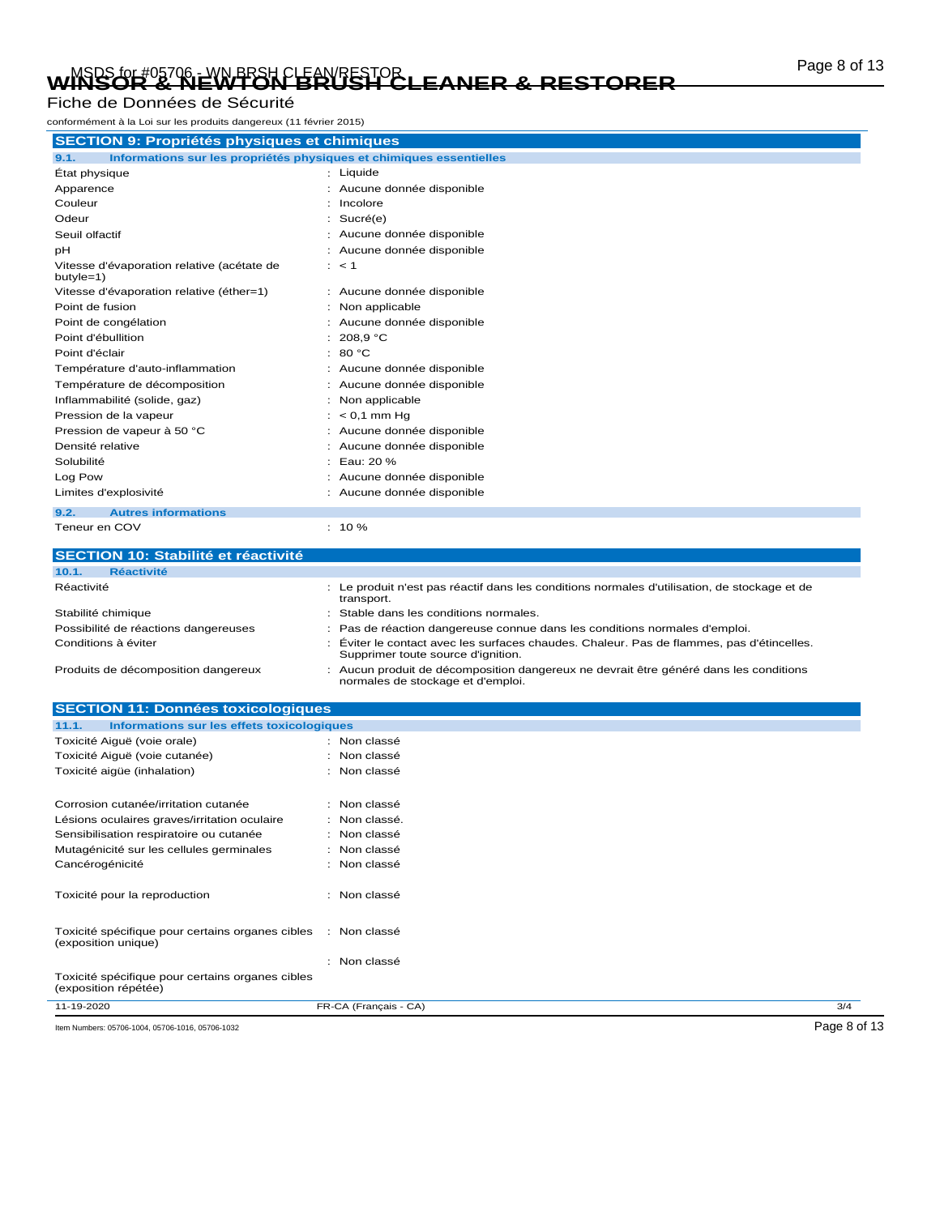# Page 8 of 13 MSDS for #05706 - WN BRSH CLEAN/RESTOR **WINSOR & NEWTON BRUSH CLEANER & RESTORER**

#### Fiche de Données de Sécurité

conformément à la Loi sur les produits dangereux (11 février 2015)

| <b>SECTION 9: Propriétés physiques et chimiques</b>                         |                            |  |
|-----------------------------------------------------------------------------|----------------------------|--|
| Informations sur les propriétés physiques et chimiques essentielles<br>9.1. |                            |  |
| Etat physique                                                               | : Liquide                  |  |
| Apparence                                                                   | Aucune donnée disponible   |  |
| Couleur                                                                     | Incolore                   |  |
| Odeur                                                                       | Sucré(e)                   |  |
| Seuil olfactif                                                              | Aucune donnée disponible   |  |
| рH                                                                          | Aucune donnée disponible   |  |
| Vitesse d'évaporation relative (acétate de<br>$butyle=1)$                   | $:$ < 1                    |  |
| Vitesse d'évaporation relative (éther=1)                                    | : Aucune donnée disponible |  |
| Point de fusion                                                             | Non applicable             |  |
| Point de congélation                                                        | Aucune donnée disponible   |  |
| Point d'ébullition                                                          | 208,9 °C                   |  |
| Point d'éclair                                                              | 80 °C<br>٠                 |  |
| Température d'auto-inflammation                                             | Aucune donnée disponible   |  |
| Température de décomposition                                                | Aucune donnée disponible   |  |
| Inflammabilité (solide, gaz)                                                | Non applicable             |  |
| Pression de la vapeur                                                       | $< 0.1$ mm Hq              |  |
| Pression de vapeur à 50 °C                                                  | Aucune donnée disponible   |  |
| Densité relative                                                            | Aucune donnée disponible   |  |
| Solubilité                                                                  | Eau: 20 %                  |  |
| Log Pow                                                                     | Aucune donnée disponible   |  |
| Limites d'explosivité                                                       | Aucune donnée disponible   |  |
| <b>Autres informations</b><br>9.2.                                          |                            |  |
| Teneur en COV                                                               | $: 10 \%$                  |  |

| <b>SECTION 10: Stabilité et réactivité</b>           |                                                                                                                                 |
|------------------------------------------------------|---------------------------------------------------------------------------------------------------------------------------------|
| 10.1.<br><b>Réactivité</b>                           |                                                                                                                                 |
| Réactivité                                           | : Le produit n'est pas réactif dans les conditions normales d'utilisation, de stockage et de<br>transport.                      |
| Stabilité chimique                                   | : Stable dans les conditions normales.                                                                                          |
| Possibilité de réactions dangereuses                 | : Pas de réaction dangereuse connue dans les conditions normales d'emploi.                                                      |
| Conditions à éviter                                  | : Éviter le contact avec les surfaces chaudes. Chaleur. Pas de flammes, pas d'étincelles.<br>Supprimer toute source d'ignition. |
| Dan di itali da i difinishwa mattima i dalaman shiri |                                                                                                                                 |

Produits de décomposition dangereux : Aucun produit de décomposition dangereux ne devrait être généré dans les conditions<br>normales de stockage et d'emploi.

| <b>SECTION 11: Données toxicologiques</b>                                |                       |              |
|--------------------------------------------------------------------------|-----------------------|--------------|
| Informations sur les effets toxicologiques<br>11.1.                      |                       |              |
| Toxicité Aiguë (voie orale)                                              | : Non classé          |              |
| Toxicité Aiguë (voie cutanée)                                            | : Non classé          |              |
| Toxicité aigüe (inhalation)                                              | : Non classé          |              |
| Corrosion cutanée/irritation cutanée                                     | : Non classé          |              |
| Lésions oculaires graves/irritation oculaire                             | : Non classé.         |              |
| Sensibilisation respiratoire ou cutanée                                  | : Non classé          |              |
| Mutagénicité sur les cellules germinales                                 | : Non classé          |              |
| Cancérogénicité                                                          | : Non classé          |              |
| Toxicité pour la reproduction                                            | : Non classé          |              |
| Toxicité spécifique pour certains organes cibles<br>(exposition unique)  | : Non classé          |              |
|                                                                          | : Non classé          |              |
| Toxicité spécifique pour certains organes cibles<br>(exposition répétée) |                       |              |
| 11-19-2020                                                               | FR-CA (Français - CA) | 3/4          |
| Item Numbers: 05706-1004, 05706-1016, 05706-1032                         |                       | Page 8 of 13 |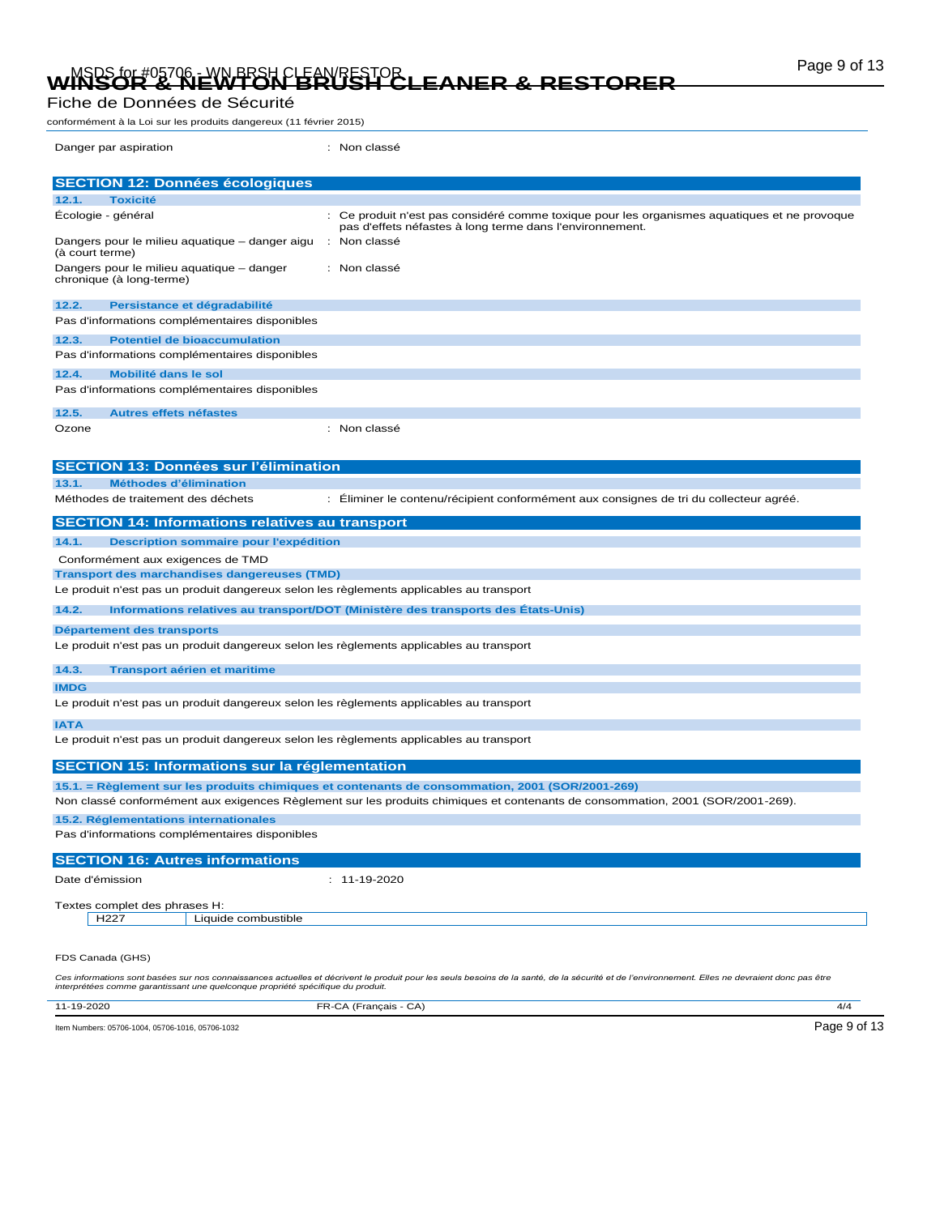# Page 9 of 13 MSDS for #05706 - WN BRSH CLEAN/RESTOR **WINSOR & NEWTON BRUSH CLEANER & RESTORER**

#### Fiche de Données de Sécurité

conformément à la Loi sur les produits dangereux (11 février 2015)

| Danger par aspiration                                                                   | : Non classé                                                                                                                                             |  |
|-----------------------------------------------------------------------------------------|----------------------------------------------------------------------------------------------------------------------------------------------------------|--|
| <b>SECTION 12: Données écologiques</b>                                                  |                                                                                                                                                          |  |
| <b>Toxicité</b><br>12.1.                                                                |                                                                                                                                                          |  |
| Écologie - général                                                                      | : Ce produit n'est pas considéré comme toxique pour les organismes aquatiques et ne provoque<br>pas d'effets néfastes à long terme dans l'environnement. |  |
| Dangers pour le milieu aquatique - danger aigu<br>(à court terme)                       | : Non classé                                                                                                                                             |  |
| Dangers pour le milieu aquatique – danger<br>chronique (à long-terme)                   | : Non classé                                                                                                                                             |  |
| 12.2.<br>Persistance et dégradabilité                                                   |                                                                                                                                                          |  |
| Pas d'informations complémentaires disponibles                                          |                                                                                                                                                          |  |
| <b>Potentiel de bioaccumulation</b><br>12.3.                                            |                                                                                                                                                          |  |
| Pas d'informations complémentaires disponibles                                          |                                                                                                                                                          |  |
| Mobilité dans le sol<br>12.4.                                                           |                                                                                                                                                          |  |
| Pas d'informations complémentaires disponibles                                          |                                                                                                                                                          |  |
| 12.5.<br><b>Autres effets néfastes</b>                                                  |                                                                                                                                                          |  |
| Ozone                                                                                   | : Non classé                                                                                                                                             |  |
| <b>SECTION 13: Données sur l'élimination</b>                                            |                                                                                                                                                          |  |
| Méthodes d'élimination<br>13.1.                                                         |                                                                                                                                                          |  |
| Méthodes de traitement des déchets                                                      | : Éliminer le contenu/récipient conformément aux consignes de tri du collecteur agréé.                                                                   |  |
| <b>SECTION 14: Informations relatives au transport</b>                                  |                                                                                                                                                          |  |
| 14.1.<br>Description sommaire pour l'expédition                                         |                                                                                                                                                          |  |
| Conformément aux exigences de TMD                                                       |                                                                                                                                                          |  |
| <b>Transport des marchandises dangereuses (TMD)</b>                                     |                                                                                                                                                          |  |
| Le produit n'est pas un produit dangereux selon les règlements applicables au transport |                                                                                                                                                          |  |
| 14.2.                                                                                   | Informations relatives au transport/DOT (Ministère des transports des États-Unis)                                                                        |  |
| Département des transports                                                              |                                                                                                                                                          |  |
| Le produit n'est pas un produit dangereux selon les règlements applicables au transport |                                                                                                                                                          |  |
| 14.3.<br><b>Transport aérien et maritime</b>                                            |                                                                                                                                                          |  |
| <b>IMDG</b>                                                                             |                                                                                                                                                          |  |
| Le produit n'est pas un produit dangereux selon les règlements applicables au transport |                                                                                                                                                          |  |
| <b>IATA</b>                                                                             |                                                                                                                                                          |  |
| Le produit n'est pas un produit dangereux selon les règlements applicables au transport |                                                                                                                                                          |  |
| <b>SECTION 15: Informations sur la réglementation</b>                                   |                                                                                                                                                          |  |
|                                                                                         | 15.1. = Règlement sur les produits chimiques et contenants de consommation, 2001 (SOR/2001-269)                                                          |  |
|                                                                                         | Non classé conformément aux exigences Règlement sur les produits chimiques et contenants de consommation, 2001 (SOR/2001-269).                           |  |
| 15.2. Réglementations internationales                                                   |                                                                                                                                                          |  |
| Pas d'informations complémentaires disponibles                                          |                                                                                                                                                          |  |
| <b>SECTION 16: Autres informations</b>                                                  |                                                                                                                                                          |  |
| Date d'émission                                                                         | $: 11 - 19 - 2020$                                                                                                                                       |  |
| Textes complet des phrases H:                                                           |                                                                                                                                                          |  |
| H227<br>Liquide combustible                                                             |                                                                                                                                                          |  |
| FDS Canada (GHS)                                                                        |                                                                                                                                                          |  |
|                                                                                         |                                                                                                                                                          |  |

Ces informations sont basées sur nos connaissances actuelles et décrivent le produit pour les seuls besoins de la santé, de la sécurité et de l'environnement. Elles ne devraient donc pas être<br>interprétées comme garantissan

| 11-19-2020                                       | FR-CA (Français - CA) | 4/4          |
|--------------------------------------------------|-----------------------|--------------|
| Item Numbers: 05706-1004, 05706-1016, 05706-1032 |                       | Page 9 of 13 |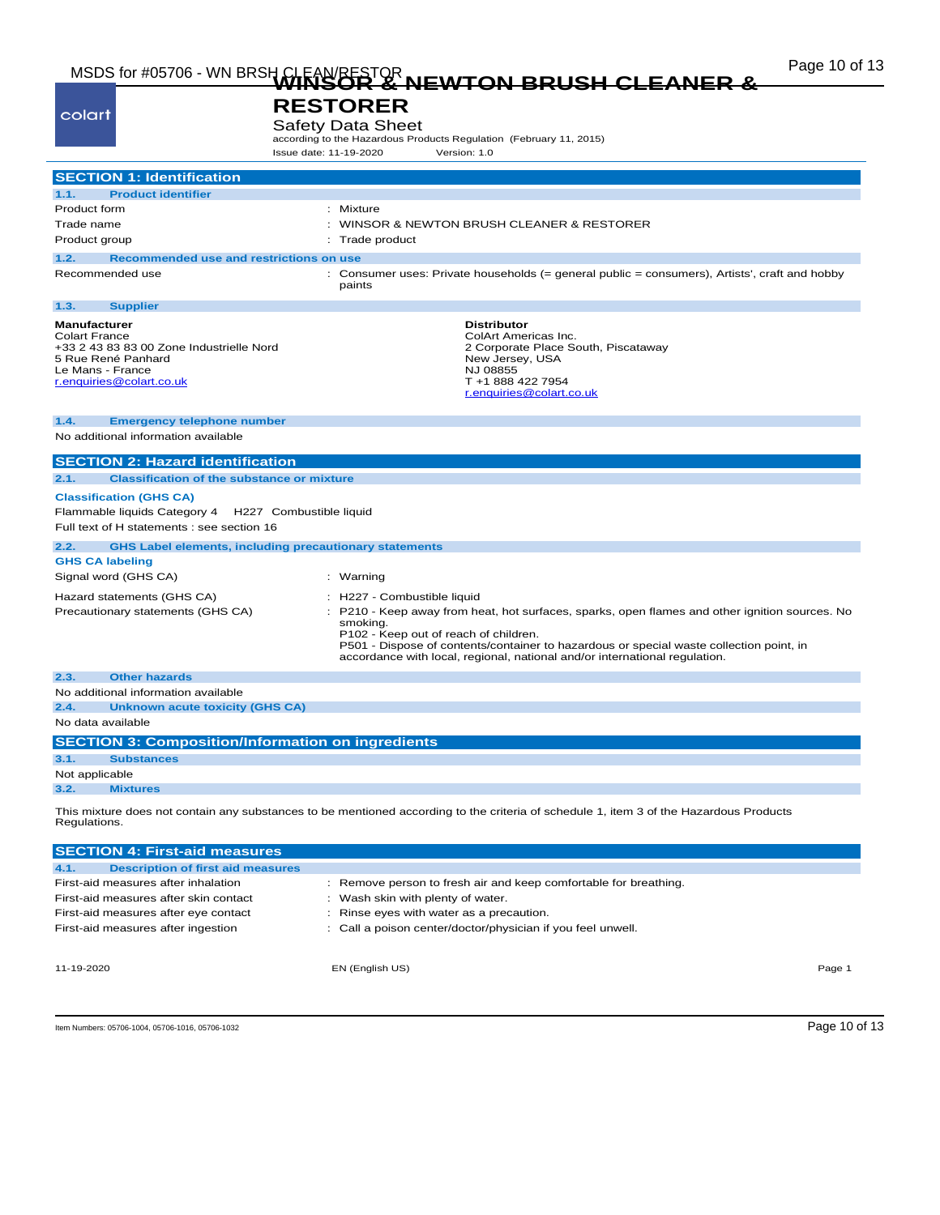# Page 10 of 13 MSDS for #05706 - WN BRSH CLEAN/RESTOR **WINSOR & NEWTON BRUSH CLEANER &**

|                                                                       | <del>NEWIO</del> N                                                                                                                     |
|-----------------------------------------------------------------------|----------------------------------------------------------------------------------------------------------------------------------------|
|                                                                       | <b>RESTORER</b>                                                                                                                        |
| colart                                                                |                                                                                                                                        |
|                                                                       | <b>Safety Data Sheet</b><br>according to the Hazardous Products Regulation (February 11, 2015)                                         |
|                                                                       | Issue date: 11-19-2020<br>Version: 1.0                                                                                                 |
|                                                                       |                                                                                                                                        |
| <b>SECTION 1: Identification</b>                                      |                                                                                                                                        |
| 1.1.<br><b>Product identifier</b>                                     |                                                                                                                                        |
| Product form                                                          | : Mixture                                                                                                                              |
| Trade name                                                            | : WINSOR & NEWTON BRUSH CLEANER & RESTORER                                                                                             |
| Product group                                                         | : Trade product                                                                                                                        |
| Recommended use and restrictions on use<br>1.2.                       |                                                                                                                                        |
| Recommended use                                                       | : Consumer uses: Private households (= general public = consumers), Artists', craft and hobby<br>paints                                |
| <b>Supplier</b><br>1.3.                                               |                                                                                                                                        |
| <b>Manufacturer</b>                                                   | <b>Distributor</b>                                                                                                                     |
| <b>Colart France</b><br>+33 2 43 83 83 00 Zone Industrielle Nord      | ColArt Americas Inc.<br>2 Corporate Place South, Piscataway                                                                            |
| 5 Rue René Panhard                                                    | New Jersey, USA                                                                                                                        |
| Le Mans - France                                                      | NJ 08855                                                                                                                               |
| r.enquiries@colart.co.uk                                              | T +1 888 422 7954<br>r.enquiries@colart.co.uk                                                                                          |
|                                                                       |                                                                                                                                        |
| 1.4.<br><b>Emergency telephone number</b>                             |                                                                                                                                        |
| No additional information available                                   |                                                                                                                                        |
| <b>SECTION 2: Hazard identification</b>                               |                                                                                                                                        |
| 2.1.<br><b>Classification of the substance or mixture</b>             |                                                                                                                                        |
|                                                                       |                                                                                                                                        |
| <b>Classification (GHS CA)</b>                                        |                                                                                                                                        |
| Flammable liquids Category 4<br>H227 Combustible liquid               |                                                                                                                                        |
| Full text of H statements : see section 16                            |                                                                                                                                        |
| <b>GHS Label elements, including precautionary statements</b><br>2.2. |                                                                                                                                        |
| <b>GHS CA labeling</b>                                                |                                                                                                                                        |
| Signal word (GHS CA)                                                  | : Warning                                                                                                                              |
| Hazard statements (GHS CA)                                            | : H227 - Combustible liquid                                                                                                            |
| Precautionary statements (GHS CA)                                     | P210 - Keep away from heat, hot surfaces, sparks, open flames and other ignition sources. No                                           |
|                                                                       | smoking.<br>P102 - Keep out of reach of children.                                                                                      |
|                                                                       | P501 - Dispose of contents/container to hazardous or special waste collection point, in                                                |
|                                                                       | accordance with local, regional, national and/or international regulation.                                                             |
| <b>Other hazards</b><br>2.3.                                          |                                                                                                                                        |
| No additional information available                                   |                                                                                                                                        |
| 2.4.<br><b>Unknown acute toxicity (GHS CA)</b>                        |                                                                                                                                        |
| No data available                                                     |                                                                                                                                        |
| <b>SECTION 3: Composition/Information on ingredients</b>              |                                                                                                                                        |
| 3.1.<br><b>Substances</b>                                             |                                                                                                                                        |
| Not applicable                                                        |                                                                                                                                        |
| 3.2.<br><b>Mixtures</b>                                               |                                                                                                                                        |
| Regulations.                                                          | This mixture does not contain any substances to be mentioned according to the criteria of schedule 1, item 3 of the Hazardous Products |
| <b>SECTION 4: First-aid measures</b>                                  |                                                                                                                                        |
| 4.1.<br><b>Description of first aid measures</b>                      |                                                                                                                                        |
| First-aid measures after inhalation                                   | : Remove person to fresh air and keep comfortable for breathing.                                                                       |
| First-aid measures after skin contact                                 | : Wash skin with plenty of water.                                                                                                      |

First-aid measures after eye contact : Rinse eyes with water as a precaution.

First-aid measures after ingestion : Call a poison center/doctor/physician if you feel unwell.

11-19-2020 EN (English US) Page 1

Item Numbers: 05706-1004, 05706-1016, 05706-1032 Page 10 of 13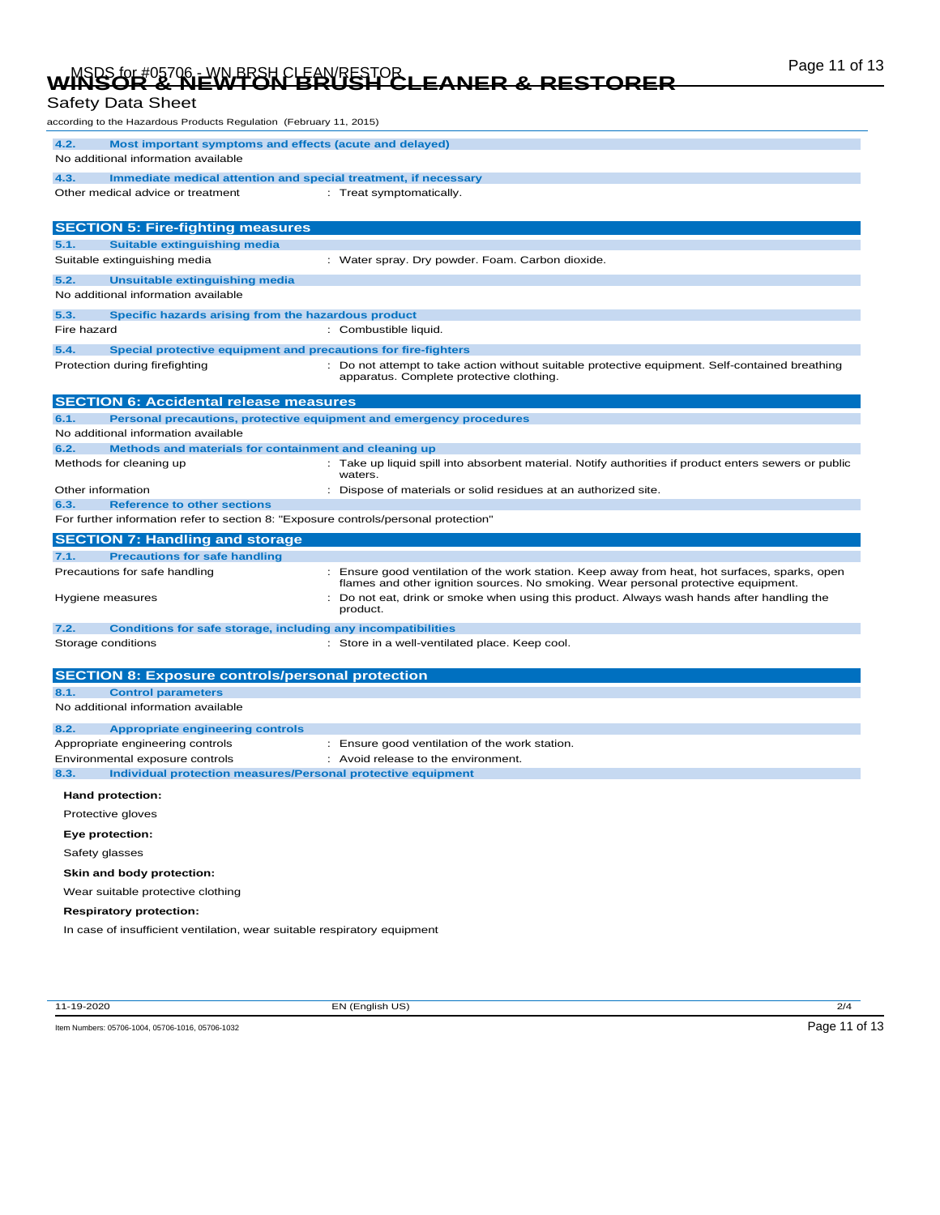# Page 11 of 13 MSDS for #05706 - WN BRSH CLEAN/RESTOR **WINSOR & NEWTON BRUSH CLEANER & RESTORER**

### Safety Data Sheet

| according to the Hazardous Products Regulation (February 11, 2015)                                           |                                                                                                                                                                                      |
|--------------------------------------------------------------------------------------------------------------|--------------------------------------------------------------------------------------------------------------------------------------------------------------------------------------|
| 4.2.<br>Most important symptoms and effects (acute and delayed)<br>No additional information available       |                                                                                                                                                                                      |
|                                                                                                              |                                                                                                                                                                                      |
| 4.3.<br>Immediate medical attention and special treatment, if necessary<br>Other medical advice or treatment |                                                                                                                                                                                      |
|                                                                                                              | : Treat symptomatically.                                                                                                                                                             |
| <b>SECTION 5: Fire-fighting measures</b>                                                                     |                                                                                                                                                                                      |
| 5.1.<br><b>Suitable extinguishing media</b>                                                                  |                                                                                                                                                                                      |
| Suitable extinguishing media                                                                                 | : Water spray. Dry powder. Foam. Carbon dioxide.                                                                                                                                     |
| 5.2.<br>Unsuitable extinguishing media                                                                       |                                                                                                                                                                                      |
| No additional information available                                                                          |                                                                                                                                                                                      |
| 5.3.<br>Specific hazards arising from the hazardous product                                                  |                                                                                                                                                                                      |
| Fire hazard                                                                                                  | : Combustible liquid.                                                                                                                                                                |
| 5.4.<br>Special protective equipment and precautions for fire-fighters                                       |                                                                                                                                                                                      |
| Protection during firefighting                                                                               | : Do not attempt to take action without suitable protective equipment. Self-contained breathing<br>apparatus. Complete protective clothing.                                          |
| <b>SECTION 6: Accidental release measures</b>                                                                |                                                                                                                                                                                      |
| 6.1.                                                                                                         | Personal precautions, protective equipment and emergency procedures                                                                                                                  |
| No additional information available                                                                          |                                                                                                                                                                                      |
| 6.2.<br>Methods and materials for containment and cleaning up                                                |                                                                                                                                                                                      |
| Methods for cleaning up                                                                                      | Take up liquid spill into absorbent material. Notify authorities if product enters sewers or public<br>waters.                                                                       |
| Other information                                                                                            | : Dispose of materials or solid residues at an authorized site.                                                                                                                      |
| <b>Reference to other sections</b><br>6.3.                                                                   |                                                                                                                                                                                      |
| For further information refer to section 8: "Exposure controls/personal protection"                          |                                                                                                                                                                                      |
|                                                                                                              |                                                                                                                                                                                      |
| <b>SECTION 7: Handling and storage</b>                                                                       |                                                                                                                                                                                      |
| <b>Precautions for safe handling</b><br>7.1.                                                                 |                                                                                                                                                                                      |
| Precautions for safe handling                                                                                | : Ensure good ventilation of the work station. Keep away from heat, hot surfaces, sparks, open<br>flames and other ignition sources. No smoking. Wear personal protective equipment. |
| Hygiene measures                                                                                             | Do not eat, drink or smoke when using this product. Always wash hands after handling the<br>product.                                                                                 |
| 7.2.<br><b>Conditions for safe storage, including any incompatibilities</b>                                  |                                                                                                                                                                                      |
| Storage conditions                                                                                           | : Store in a well-ventilated place. Keep cool.                                                                                                                                       |
|                                                                                                              |                                                                                                                                                                                      |
| <b>SECTION 8: Exposure controls/personal protection</b>                                                      |                                                                                                                                                                                      |
| <b>Control parameters</b><br>8.1.<br>No additional information available                                     |                                                                                                                                                                                      |
|                                                                                                              |                                                                                                                                                                                      |
| 8.2.<br><b>Appropriate engineering controls</b>                                                              |                                                                                                                                                                                      |
| Appropriate engineering controls                                                                             | : Ensure good ventilation of the work station.<br>: Avoid release to the environment.                                                                                                |
| Environmental exposure controls<br>8.3.<br>Individual protection measures/Personal protective equipment      |                                                                                                                                                                                      |
| Hand protection:                                                                                             |                                                                                                                                                                                      |
| Protective gloves                                                                                            |                                                                                                                                                                                      |
| Eye protection:                                                                                              |                                                                                                                                                                                      |
| Safety glasses                                                                                               |                                                                                                                                                                                      |
| Skin and body protection:                                                                                    |                                                                                                                                                                                      |
| Wear suitable protective clothing                                                                            |                                                                                                                                                                                      |
| <b>Respiratory protection:</b>                                                                               |                                                                                                                                                                                      |

11-19-2020 EN (English US) 2/4

Item Numbers: 05706-1004, 05706-1016, 05706-1032 Page 11 of 13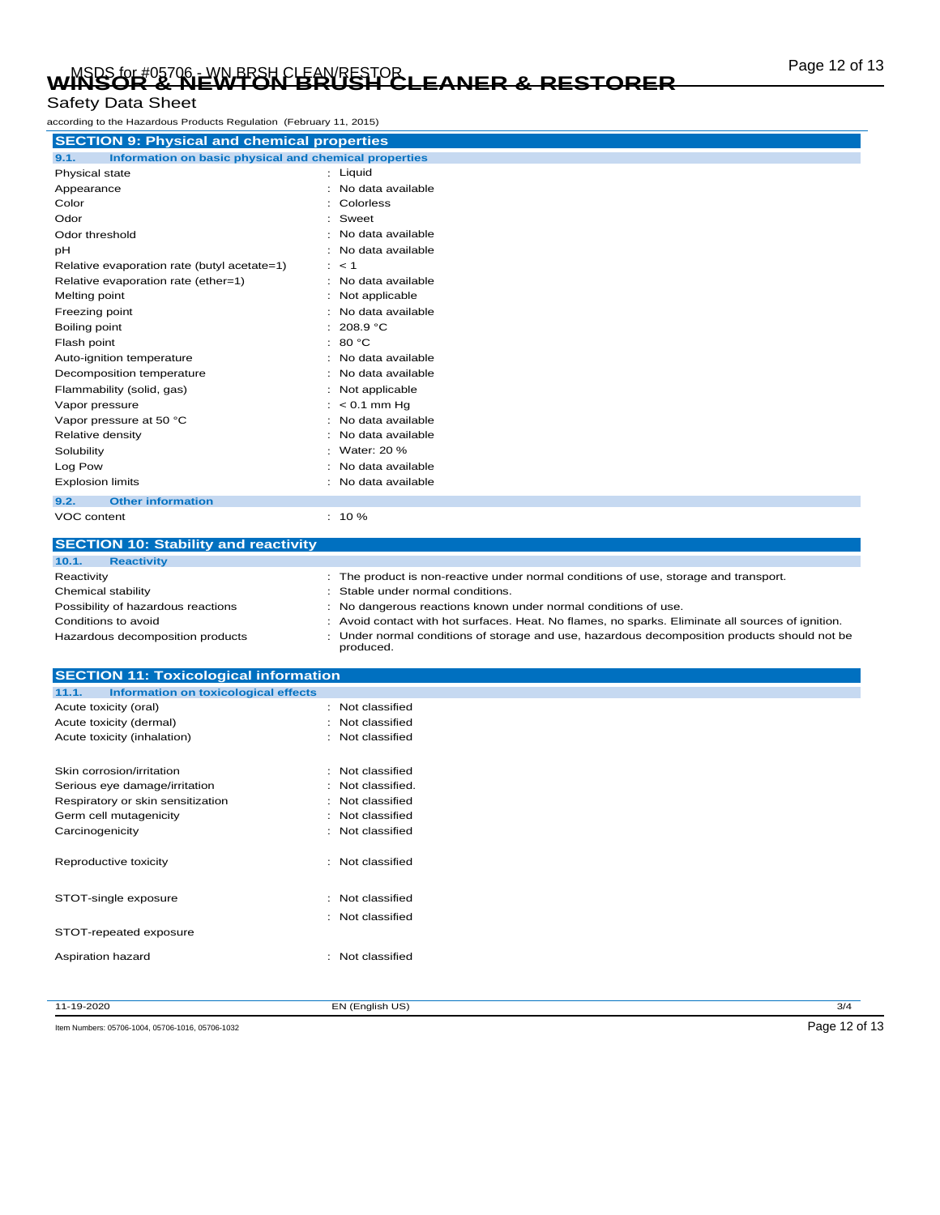# Page 12 of 13 MSDS for #05706 - WN BRSH CLEAN/RESTOR **WINSOR & NEWTON BRUSH CLEANER & RESTORER**

#### Safety Data Sheet

according to the Hazardous Products Regulation (February 11, 2015)

| <b>SECTION 9: Physical and chemical properties</b>            |                     |
|---------------------------------------------------------------|---------------------|
| 9.1.<br>Information on basic physical and chemical properties |                     |
| Physical state                                                | : Liquid            |
| Appearance                                                    | No data available   |
| Color                                                         | Colorless           |
| Odor                                                          | : Sweet             |
| Odor threshold                                                | No data available   |
| pH                                                            | No data available   |
| Relative evaporation rate (butyl acetate=1)                   | $\therefore$ < 1    |
| Relative evaporation rate (ether=1)                           | No data available   |
| Melting point                                                 | Not applicable      |
| Freezing point                                                | No data available   |
| Boiling point                                                 | 208.9 °C            |
| Flash point                                                   | : 80 °C             |
| Auto-ignition temperature                                     | : No data available |
| Decomposition temperature                                     | No data available   |
| Flammability (solid, gas)                                     | Not applicable      |
| Vapor pressure                                                | $< 0.1$ mm Hq       |
| Vapor pressure at 50 °C                                       | No data available   |
| Relative density                                              | No data available   |
| Solubility                                                    | Water: 20 %         |
| Log Pow                                                       | No data available   |
| <b>Explosion limits</b>                                       | No data available   |
| <b>Other information</b><br>9.2.                              |                     |
| VOC content                                                   | $: 10 \%$           |

| <b>SECTION 10: Stability and reactivity</b> |                                                                                                         |
|---------------------------------------------|---------------------------------------------------------------------------------------------------------|
| 10.1.<br><b>Reactivity</b>                  |                                                                                                         |
| Reactivity                                  | : The product is non-reactive under normal conditions of use, storage and transport.                    |
| Chemical stability                          | : Stable under normal conditions.                                                                       |
| Possibility of hazardous reactions          | : No dangerous reactions known under normal conditions of use.                                          |
| Conditions to avoid                         | : Avoid contact with hot surfaces. Heat. No flames, no sparks. Eliminate all sources of ignition.       |
| Hazardous decomposition products            | Under normal conditions of storage and use, hazardous decomposition products should not be<br>produced. |

| <b>SECTION 11: Toxicological information</b>  |                   |     |
|-----------------------------------------------|-------------------|-----|
| 11.1.<br>Information on toxicological effects |                   |     |
| Acute toxicity (oral)                         | : Not classified  |     |
| Acute toxicity (dermal)                       | : Not classified  |     |
| Acute toxicity (inhalation)                   | : Not classified  |     |
| Skin corrosion/irritation                     | : Not classified  |     |
| Serious eye damage/irritation                 | : Not classified. |     |
| Respiratory or skin sensitization             | : Not classified  |     |
| Germ cell mutagenicity                        | Not classified    |     |
| Carcinogenicity                               | : Not classified  |     |
| Reproductive toxicity                         | : Not classified  |     |
| STOT-single exposure                          | : Not classified  |     |
|                                               | : Not classified  |     |
| STOT-repeated exposure                        |                   |     |
| Aspiration hazard                             | : Not classified  |     |
|                                               |                   |     |
| 11-19-2020                                    | EN (English US)   | 3/4 |

Item Numbers: 05706-1004, 05706-1016, 05706-1032 Page 12 of 13